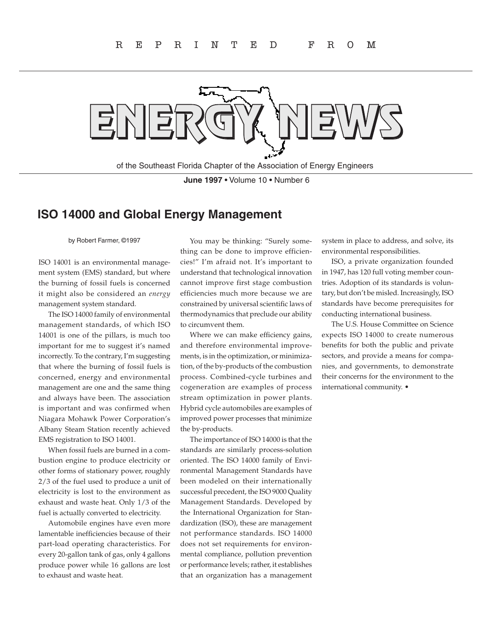

of the Southeast Florida Chapter of the Association of Energy Engineers

**June 1997** • Volume 10 • Number 6

## **ISO 14000 and Global Energy Management**

by Robert Farmer, ©1997

ISO 14001 is an environmental management system (EMS) standard, but where the burning of fossil fuels is concerned it might also be considered an *energy*  management system standard.

The ISO 14000 family of environmental management standards, of which ISO 14001 is one of the pillars, is much too important for me to suggest it's named incorrectly. To the contrary, I'm suggesting that where the burning of fossil fuels is concerned, energy and environmental management are one and the same thing and always have been. The association is important and was confirmed when Niagara Mohawk Power Corporation's Albany Steam Station recently achieved EMS registration to ISO 14001.

When fossil fuels are burned in a combustion engine to produce electricity or other forms of stationary power, roughly 2/3 of the fuel used to produce a unit of electricity is lost to the environment as exhaust and waste heat. Only 1/3 of the fuel is actually converted to electricity.

Automobile engines have even more lamentable inefficiencies because of their part-load operating characteristics. For every 20-gallon tank of gas, only 4 gallons produce power while 16 gallons are lost to exhaust and waste heat.

You may be thinking: "Surely something can be done to improve efficiencies!" I'm afraid not. It's important to understand that technological innovation cannot improve first stage combustion efficiencies much more because we are constrained by universal scientific laws of thermodynamics that preclude our ability to circumvent them.

Where we can make efficiency gains, and therefore environmental improvements, is in the optimization, or minimization, of the by-products of the combustion process. Combined-cycle turbines and cogeneration are examples of process stream optimization in power plants. Hybrid cycle automobiles are examples of improved power processes that minimize the by-products.

The importance of ISO 14000 is that the standards are similarly process-solution oriented. The ISO 14000 family of Environmental Management Standards have been modeled on their internationally successful precedent, the ISO 9000 Quality Management Standards. Developed by the International Organization for Standardization (ISO), these are management not performance standards. ISO 14000 does not set requirements for environmental compliance, pollution prevention or performance levels; rather, it establishes that an organization has a management system in place to address, and solve, its environmental responsibilities.

ISO, a private organization founded in 1947, has 120 full voting member countries. Adoption of its standards is voluntary, but don't be misled. Increasingly, ISO standards have become prerequisites for conducting international business.

The U.S. House Committee on Science expects ISO 14000 to create numerous benefits for both the public and private sectors, and provide a means for companies, and governments, to demonstrate their concerns for the environment to the international community. •